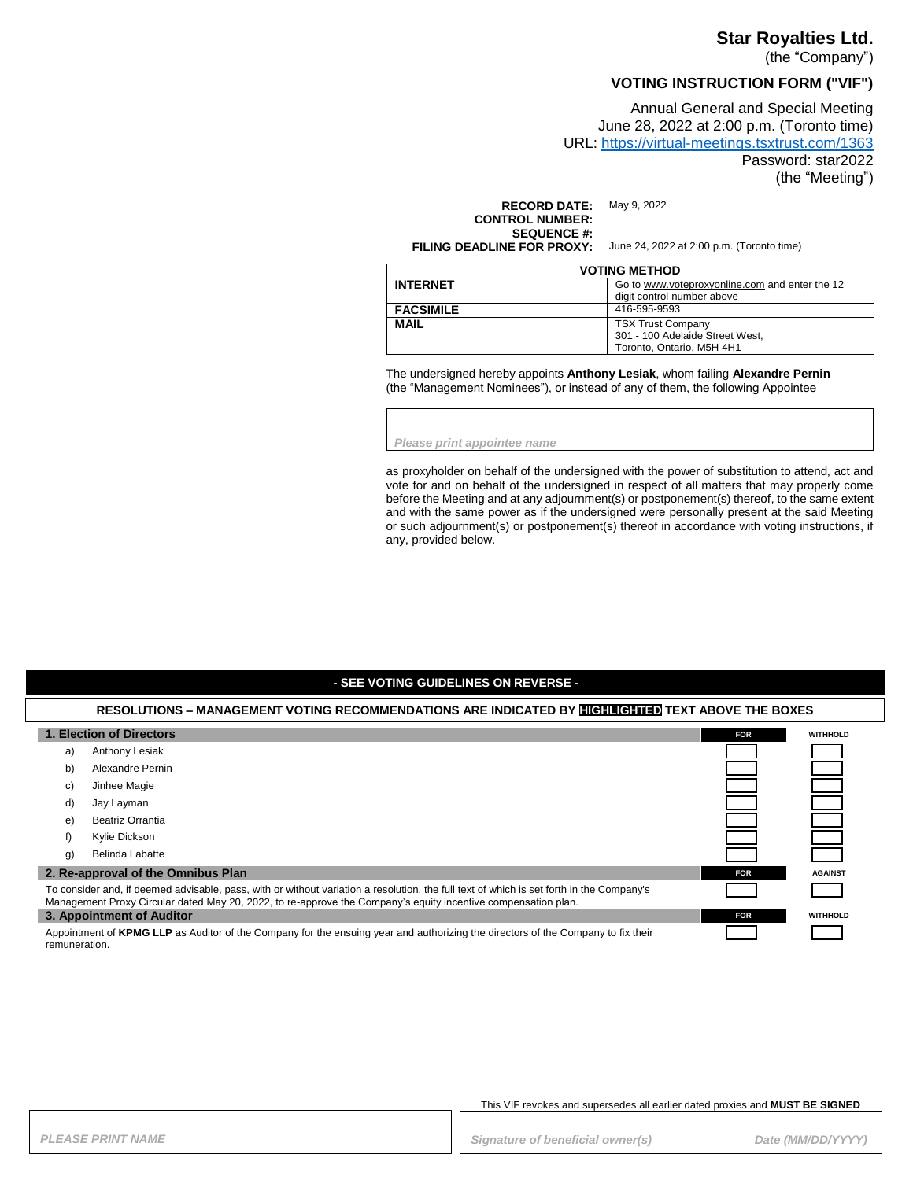### **Star Royalties Ltd.**

(the "Company")

## **VOTING INSTRUCTION FORM ("VIF")**

Annual General and Special Meeting June 28, 2022 at 2:00 p.m. (Toronto time) URL:<https://virtual-meetings.tsxtrust.com/1363> Password: star2022 (the "Meeting")

**RECORD DATE:** May 9, 2022 **CONTROL NUMBER: SEQUENCE #:**<br>FILING DEADLINE FOR PROXY:

June 24, 2022 at 2:00 p.m. (Toronto time)

| <b>VOTING METHOD</b> |                                                                                          |
|----------------------|------------------------------------------------------------------------------------------|
| <b>INTERNET</b>      | Go to www.voteproxyonline.com and enter the 12<br>digit control number above             |
| <b>FACSIMILE</b>     | 416-595-9593                                                                             |
| <b>MAIL</b>          | <b>TSX Trust Company</b><br>301 - 100 Adelaide Street West,<br>Toronto, Ontario, M5H 4H1 |

The undersigned hereby appoints **Anthony Lesiak**, whom failing **Alexandre Pernin** (the "Management Nominees"), or instead of any of them, the following Appointee

*Please print appointee name*

as proxyholder on behalf of the undersigned with the power of substitution to attend, act and vote for and on behalf of the undersigned in respect of all matters that may properly come before the Meeting and at any adjournment(s) or postponement(s) thereof, to the same extent and with the same power as if the undersigned were personally present at the said Meeting or such adjournment(s) or postponement(s) thereof in accordance with voting instructions, if any, provided below.

#### **- SEE VOTING GUIDELINES ON REVERSE -**

### **RESOLUTIONS – MANAGEMENT VOTING RECOMMENDATIONS ARE INDICATED BY HIGHLIGHTED TEXT ABOVE THE BOXES 1. Election of Directors FOR FOR FOR FOR FOR FOR FOR FOR FOR FOR FOR FOR FOR FOR FOR** a) Anthony Lesiak b) Alexandre Pernin c) Jinhee Magie d) Jay Layman e) Beatriz Orrantia f) Kylie Dickson g) Belinda Labatte **2. Re-approval of the Omnibus Plan FOR FOR FOR** *FOR* **<b>***FOR FOR FOR FOR FOR FOR FOR* To consider and, if deemed advisable, pass, with or without variation a resolution, the full text of which is set forth in the Company's Management Proxy Circular dated May 20, 2022, to re-approve the Company's equity incentive compensation plan. **3. Appointment of Auditor FOR WITHHOLD** Appointment of **KPMG LLP** as Auditor of the Company for the ensuing year and authorizing the directors of the Company to fix their remuneration.

This VIF revokes and supersedes all earlier dated proxies and **MUST BE SIGNED**

PLEASE PRINT NAME *PRINT NAME PLEASE PRINT NAME Date (MM/DD/YYYY)*